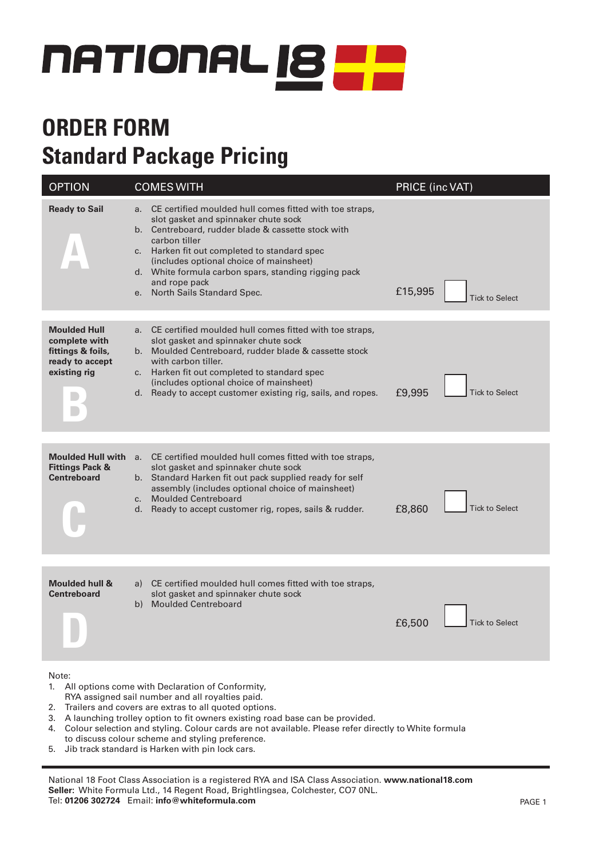

# **ORDER FORM Standard Package Pricing**

| <b>OPTION</b>                                                                                                       | <b>COMES WITH</b>                                                                                                                                                                                                                                                                                                                                                                    | PRICE (inc VAT)                  |  |  |  |
|---------------------------------------------------------------------------------------------------------------------|--------------------------------------------------------------------------------------------------------------------------------------------------------------------------------------------------------------------------------------------------------------------------------------------------------------------------------------------------------------------------------------|----------------------------------|--|--|--|
| <b>Ready to Sail</b>                                                                                                | CE certified moulded hull comes fitted with toe straps,<br>a.<br>slot gasket and spinnaker chute sock<br>b. Centreboard, rudder blade & cassette stock with<br>carbon tiller<br>c. Harken fit out completed to standard spec<br>(includes optional choice of mainsheet)<br>d. White formula carbon spars, standing rigging pack<br>and rope pack<br>North Sails Standard Spec.<br>e. | £15,995<br><b>Tick to Select</b> |  |  |  |
| <b>Moulded Hull</b><br>complete with<br>fittings & foils,<br>ready to accept<br>existing rig                        | CE certified moulded hull comes fitted with toe straps,<br>a.<br>slot gasket and spinnaker chute sock<br>Moulded Centreboard, rudder blade & cassette stock<br>b.<br>with carbon tiller.<br>c. Harken fit out completed to standard spec<br>(includes optional choice of mainsheet)<br>d. Ready to accept customer existing rig, sails, and ropes.                                   | £9,995<br><b>Tick to Select</b>  |  |  |  |
| <b>Moulded Hull with</b><br><b>Fittings Pack &amp;</b><br><b>Centreboard</b>                                        | CE certified moulded hull comes fitted with toe straps,<br>a.<br>slot gasket and spinnaker chute sock<br>b. Standard Harken fit out pack supplied ready for self<br>assembly (includes optional choice of mainsheet)<br><b>Moulded Centreboard</b><br>C <sub>1</sub><br>Ready to accept customer rig, ropes, sails & rudder.<br>d.                                                   | <b>Tick to Select</b><br>£8,860  |  |  |  |
| <b>Moulded hull &amp;</b><br><b>Centreboard</b>                                                                     | CE certified moulded hull comes fitted with toe straps,<br>a)<br>slot gasket and spinnaker chute sock<br><b>Moulded Centreboard</b><br>b)                                                                                                                                                                                                                                            | £6,500<br><b>Tick to Select</b>  |  |  |  |
| Note:<br>All options come with Declaration of Conformity,<br>1.<br>RYA assigned sail number and all royalties paid. |                                                                                                                                                                                                                                                                                                                                                                                      |                                  |  |  |  |

- 2. Trailers and covers are extras to all quoted options.
- 3. A launching trolley option to fit owners existing road base can be provided.
- 4. Colour selection and styling. Colour cards are not available. Please refer directly to White formula
- to discuss colour scheme and styling preference.
- 5. Jib track standard is Harken with pin lock cars.

National 18 Foot Class Association is a registered RYA and ISA Class Association. **www.national18.com Seller:** White Formula Ltd., 14 Regent Road, Brightlingsea, Colchester, CO7 0NL. Tel: **01206 302724** Email: **info@whiteformula.com** PAGE 1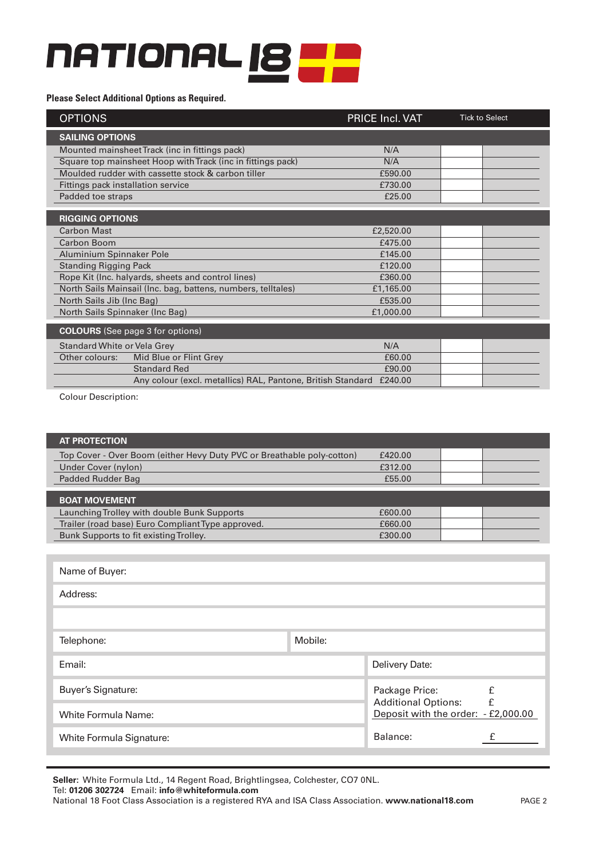# **NATIONAL 18 22**

#### **Please Select Additional Options as Required.**

| <b>OPTIONS</b>                                                      | PRICE Incl. VAT | <b>Tick to Select</b> |
|---------------------------------------------------------------------|-----------------|-----------------------|
| <b>SAILING OPTIONS</b>                                              |                 |                       |
| Mounted mainsheet Track (inc in fittings pack)                      | N/A             |                       |
| Square top mainsheet Hoop with Track (inc in fittings pack)         | N/A             |                       |
| Moulded rudder with cassette stock & carbon tiller                  | £590.00         |                       |
| Fittings pack installation service                                  | £730.00         |                       |
| Padded toe straps                                                   | £25.00          |                       |
|                                                                     |                 |                       |
| <b>RIGGING OPTIONS</b>                                              |                 |                       |
| <b>Carbon Mast</b>                                                  | £2,520.00       |                       |
| Carbon Boom                                                         | £475.00         |                       |
| Aluminium Spinnaker Pole                                            | £145.00         |                       |
| <b>Standing Rigging Pack</b>                                        | £120.00         |                       |
| Rope Kit (Inc. halyards, sheets and control lines)                  | £360.00         |                       |
| North Sails Mainsail (Inc. bag, battens, numbers, telltales)        | £1,165.00       |                       |
| North Sails Jib (Inc Bag)                                           | £535.00         |                       |
| North Sails Spinnaker (Inc Bag)                                     | £1,000.00       |                       |
| <b>COLOURS</b> (See page 3 for options)                             |                 |                       |
| Standard White or Vela Grey                                         | N/A             |                       |
| Other colours:<br>Mid Blue or Flint Grey                            | £60.00          |                       |
| <b>Standard Red</b>                                                 | £90.00          |                       |
| Any colour (excl. metallics) RAL, Pantone, British Standard £240.00 |                 |                       |

Colour Description:

| Top Cover - Over Boom (either Hevy Duty PVC or Breathable poly-cotton)<br>£420.00<br>Under Cover (nylon)<br>£312.00<br><b>Padded Rudder Bag</b><br>£55.00<br><b>BOAT MOVEMENT</b><br>Launching Trolley with double Bunk Supports<br>£600.00<br>Trailer (road base) Euro Compliant Type approved.<br>£660.00<br>Bunk Supports to fit existing Trolley.<br>£300.00<br>Name of Buyer:<br>Address:<br>Mobile:<br>Telephone:<br>Delivery Date:<br>Email:<br><b>Buyer's Signature:</b><br>£<br>Package Price:<br>£<br><b>Additional Options:</b><br>Deposit with the order: - £2,000.00<br><b>White Formula Name:</b><br>Balance:<br>£<br>White Formula Signature: | <b>AT PROTECTION</b> |  |  |  |  |  |
|--------------------------------------------------------------------------------------------------------------------------------------------------------------------------------------------------------------------------------------------------------------------------------------------------------------------------------------------------------------------------------------------------------------------------------------------------------------------------------------------------------------------------------------------------------------------------------------------------------------------------------------------------------------|----------------------|--|--|--|--|--|
|                                                                                                                                                                                                                                                                                                                                                                                                                                                                                                                                                                                                                                                              |                      |  |  |  |  |  |
|                                                                                                                                                                                                                                                                                                                                                                                                                                                                                                                                                                                                                                                              |                      |  |  |  |  |  |
|                                                                                                                                                                                                                                                                                                                                                                                                                                                                                                                                                                                                                                                              |                      |  |  |  |  |  |
|                                                                                                                                                                                                                                                                                                                                                                                                                                                                                                                                                                                                                                                              |                      |  |  |  |  |  |
|                                                                                                                                                                                                                                                                                                                                                                                                                                                                                                                                                                                                                                                              |                      |  |  |  |  |  |
|                                                                                                                                                                                                                                                                                                                                                                                                                                                                                                                                                                                                                                                              |                      |  |  |  |  |  |
|                                                                                                                                                                                                                                                                                                                                                                                                                                                                                                                                                                                                                                                              |                      |  |  |  |  |  |
|                                                                                                                                                                                                                                                                                                                                                                                                                                                                                                                                                                                                                                                              |                      |  |  |  |  |  |
|                                                                                                                                                                                                                                                                                                                                                                                                                                                                                                                                                                                                                                                              |                      |  |  |  |  |  |
|                                                                                                                                                                                                                                                                                                                                                                                                                                                                                                                                                                                                                                                              |                      |  |  |  |  |  |
|                                                                                                                                                                                                                                                                                                                                                                                                                                                                                                                                                                                                                                                              |                      |  |  |  |  |  |
|                                                                                                                                                                                                                                                                                                                                                                                                                                                                                                                                                                                                                                                              |                      |  |  |  |  |  |
|                                                                                                                                                                                                                                                                                                                                                                                                                                                                                                                                                                                                                                                              |                      |  |  |  |  |  |
|                                                                                                                                                                                                                                                                                                                                                                                                                                                                                                                                                                                                                                                              |                      |  |  |  |  |  |
|                                                                                                                                                                                                                                                                                                                                                                                                                                                                                                                                                                                                                                                              |                      |  |  |  |  |  |
|                                                                                                                                                                                                                                                                                                                                                                                                                                                                                                                                                                                                                                                              |                      |  |  |  |  |  |

**Seller:** White Formula Ltd., 14 Regent Road, Brightlingsea, Colchester, CO7 0NL.

Tel: **01206 302724** Email: **info@whiteformula.com**

National 18 Foot Class Association is a registered RYA and ISA Class Association. **www.national18.com**